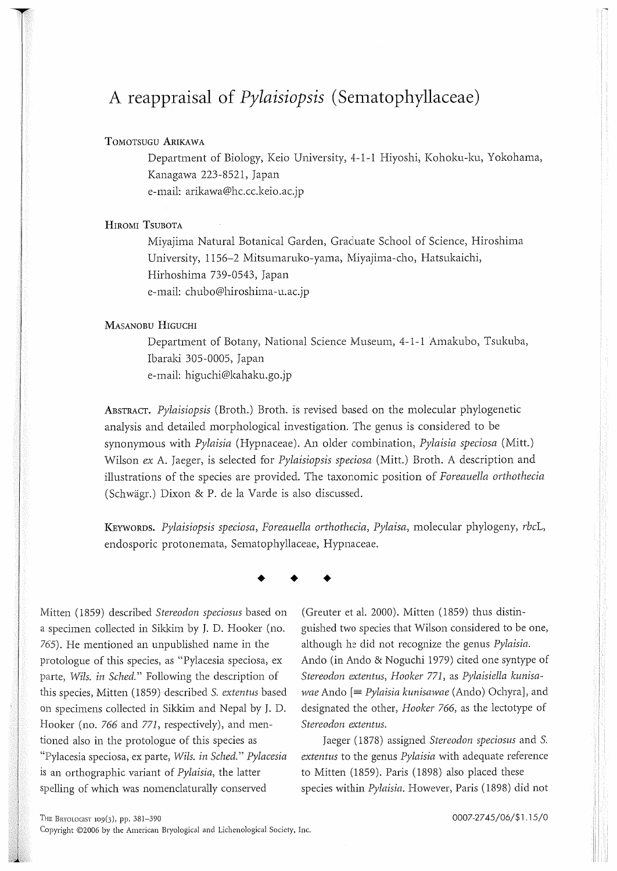# A **reappraisal of** *Pylaisiopsis* **(Sematophyllaceae)**

## TOMOTSUGU ARIKAWA

Department of Biology, Keio University, 4-1-1 Hiyoshi, Kohoku-ku, Yokohama, Kanagawa 223-8521, Japan e-mail: arikawa@hc.cc.keio.ac.jp

## HIROMI TSUBOTA

Miyajima Natural Botanical Garden, Graduate School of Science, Hiroshima University, 1156-2 Mitsumaruko-yama, Miyajima-cho, Hatsukaichi, Hirhoshima 739-0543, Japan e-mail: chubo@hiroshima-u.ac.jp

## MASANOBU HIGUCHI

Department of Botany, National Science Museum, 4-1-1 Amakubo, Tsukuba, Ibaraki 305-0005, Japan e-mail: higuchi@kahaku.go.jp

ABSTRACT. *Pylaisiopsis* (Broth.) Broth. is revised based on the molecular phylogenetic analysis and detailed morphological investigation. The genus is considered to be synonymous with *Pylaisia* (Hypnaceae). An older combination, *Pylaisia speciosa* (Mitt.) Wilson *ex* A. Jaeger, is selected for *Pylaisiopsis speciosa* (Mitt.) Broth. A description and illustrations of the species are provided. The taxonomic position of *Foreauella orthothecia* (Schwagr.) Dixon & P. de la Yarde is also discussed.

KEYWORDS. *Pylaisiopsis speciosa, Foreauella orthothecia, Pylaisa,* molecular phylogeny, rbcL, endosporic protonemata, Sematophyllaceae, Hypnaceae .

> • • •

Mitten (1859) described *Stereodon speciosus* based on a specimen collected in Sikkim by J. D. Hooker (no. 765). He mentioned an unpublished name in the protologue of this species, as "Pylacesia speciosa, ex parte, *Wils. in Sched.*" Following the description of this species, Mitten (1859) described S. *extentus* based on specimens collected in Sikkim and Nepal by J. D. Hooker (no. 766 and 771, respectively), and mentioned also in the protologue of this species as "Pylacesia speciosa, ex parte, *Wils. in Sched." Pylacesia* is an orthographic variant of *Pylaisia,* the latter spelling of which was nomenclaturally conserved

(Greuter et al. 2000). Mitten (1859) thus distinguished two species that Wilson considered to be one, although he did not recognize the genus *Pylaisia.*  Ando (in Ando & Noguchi 1979) cited one syntype of *Stereodon extentus, Hooker* 771, as *Pylaisiella kunisa wae* Ando [= *Pylaisia kunisawae* (Ando) Ochyra], and designated the other, *Hooker* 766, as the lectotype of *Stereodon extentus.* 

Jaeger (1878) assigned *Stereodon speciosus* and S. *extentus* to the genus *Pylaisia* with adequate reference to Mitten (1859). Paris (1898) also placed these species within *Pylaisia.* However, Paris (1898) did not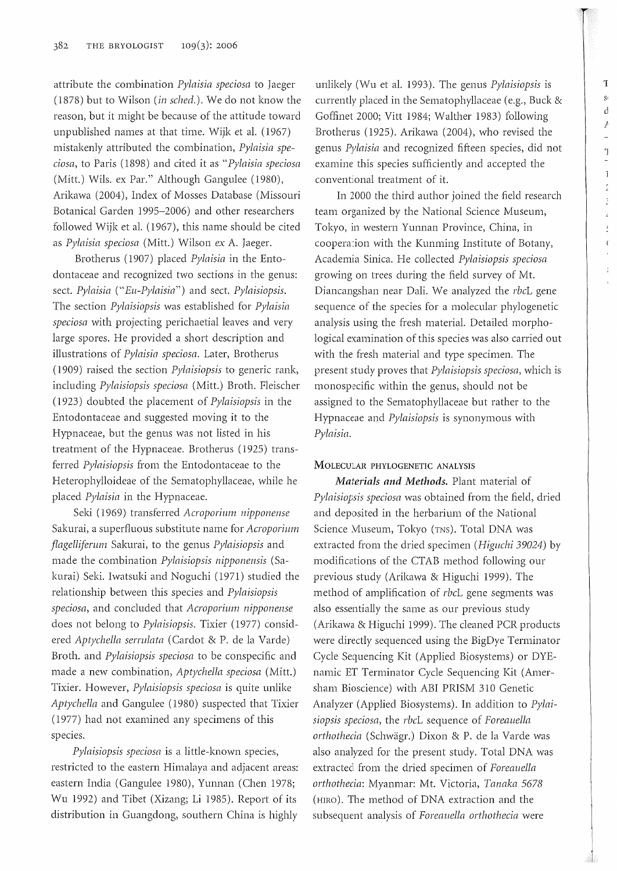$\frac{1}{4}$ 

attribute the combination *Pylaisia speciosa* to Jaeger (1878) but to Wilson (*in sched.*). We do not know the reason, but it might be because of the attitude toward unpublished names at that time. Wijk et al.  $(1967)$ mistakenly attributed the combination, *Pylaisia speciosa,* to Paris (1898) and cited it as *"Pylaisia speciosa*  (Mitt.) Wils. ex Par." Although Gangulee (1980), Arikawa (2004), Index of Mosses Database (Missouri Botanical Garden 1995-2006) and other researchers followed Wijk et al. (1967), this name should be cited as *Pylaisia speciosa* (Mitt.) Wilson *ex* A. Jaeger.

Brotherus (1907) placed *Pylaisia* in the Entodontaceae and recognized two sections in the genus: sect. *Pylaisia ("Eu-Pylaisia")* and sect. *Pylaisiopsis.*  The section *Pylaisiopsis* was established for *Pylaisia*  speciosa with projecting perichaetial leaves and very large spores. He provided a short description and illustrations of *Pylaisia speciosa.* Later, Brotherus (1909) raised the section *Pylaisiopsis* to generic rank, including *Pylaisiopsis speciosa* (Mitt.) Broth. Fleischer (1923) doubted the placement of *Pylaisiopsis* in the Entodontaceae and suggested moving it to the Hypnaceae, but the genus was not listed in his treatment of the Hypnaceae. Brotherus (1925) transferred *Pylaisiopsis* from the Entodontaceae to the Heterophylloideae of the Sematophyllaceae, while he placed *Pylaisia* in the Hypnaceae.

Seki (1969) transferred *Acroporium nipponense* Sakurai, a superfluous substitute name for *Acroporium flagelliferul11* Sakurai, to the genus *Pylaisiopsis* and made the combination *Pylaisiopsis nipponensis* (Sakurai) Seki. Iwatsuki and Noguchi (1971) studied the relationship between this species and *Pylaisiopsis*   $species$ , and concluded that *Acroporium nipponense* does not belong to *Pylaisiopsis.* Tixier (1977) considered *Aptychella serrulata* (Cardot & P. de la Varde) Broth. and *Pylaisiopsis speciosa* to be conspecific and made a new combination, *Aptychella speciosa* (Mitt.) Tixier. However, *Pylaisiopsis speciosa* is quite unlike *Aptychella* and Gangulee (1980) suspected that Tixier (1977) had not examined any specimens of this species.

*Pylaisiopsis speciosa* is a little-known species, restricted to the eastern Himalaya and adjacent areas: eastern India (Gangulee 1980), Yunnan (Chen 1978; Wu 1992) and Tibet (Xizang; Li 1985). Report of its distribution in Guangdong, southern China is highly

unlikely (Wu et al. 1993). The genus *Pylaisiopsis* is currently placed in the Sematophyllaceae (e.g., Buck & Goffinet 2000; Vitt 1984; Walther 1983) following Brotherus (1925). Arikawa (2004), who revised the genus *Pylaisia* and recognized fifteen species, did not examine this species sufficiently and accepted the conventional treatment of it.

In 2000 the third author joined the field research team organized by the National Science Museum, Tokyo, in western Yunnan Province, China, in cooperation with the Kunming Institute of Botany, Academia Sinica. He collected *Pylaisiopsis speciosa*  growing on trees during the field survey of Mt. Diancangshan near Dali. We analyzed the *rbcL* gene sequence of the species for a molecular phylogenetic analysis using the fresh material. Detailed morphological examination of this species was also carried out with the fresh material and type specimen. The present study proves that *Pylaisiopsis speciosa,* which is monospecific within the genus, should not be assigned to the Sematophyllaceae but rather to the Hypnaceae and *Pylaisiopsis* is synonymous with *Pylaisia.* 

## MOLECULAR PHYLOGENETIC ANALYSIS

*Materials and Methods.* Plant material of *Pylaisiopsis speciosa* was obtained from the field, dried and deposited in the herbarium of the National Science Museum, Tokyo (TNS). Total DNA was extracted from the dried specimen *(Higuchi 39024)* by modifications of the CTAB method following our previous study (Arikawa & Higuchi 1999). The method of amplification of *rbcL* gene segments was also essentially the same as our previous study (Arikawa & Higuchi 1999). The cleaned PCR products were directly sequenced using the BigDye Terminator Cycle Sequencing Kit (Applied Biosystems) or DYEnamic ET Terminator Cycle Sequencing Kit (Amersham Bioscience) with ABI PRISM 310 Genetic Analyzer (Applied Biosystems). In addition to *Pylaisiopsis speciosa,* the *rbcL* sequence of *Foreauella orthothecia* (Schwagr.) Dixon & P. de la Yarde was also analyzed for the present study. Total DNA was extracted from the dried specimen of *Foreauella orthothecia:* Myanmar: Mt. Victoria, *Tanaka 5678*  (HIRO). The method of DNA extraction and the subsequent analysis of *Foreauella orthothecia* were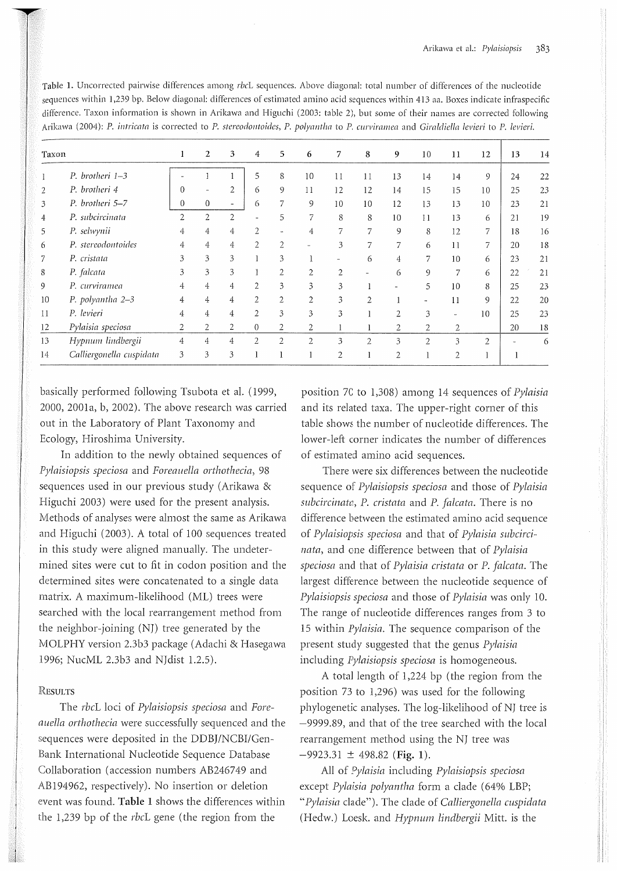Table 1. Uncorrected pairwise differences among *rbcL* sequences. Above diagonal: total number of differences of the nucleotide sequences within 1,239 bp. Below diagonal: differences of estimated amino acid sequences within 413 aa. Boxes indicate infraspecific difference. Taxon information is shown in Arikawa and Higuchi (2003: table 2), but some of their names are corrected following Arikawa (2004): *P. intricata* is corrected to *P. stereodontoides, P. polyantha* to *P. curviramea* and *Giraldiella levieri* to *P. levieri.* 

| Taxon          |                          | 1              | $\overline{2}$           | 3              | 4                    | 5                        | 6              | 7              | 8                        | 9                        | 10                       | 11             | 12             | 13     | 14 |
|----------------|--------------------------|----------------|--------------------------|----------------|----------------------|--------------------------|----------------|----------------|--------------------------|--------------------------|--------------------------|----------------|----------------|--------|----|
|                | P. brotheri 1-3          |                |                          | 1              | 5                    | 8                        | 10             | 11             | 11                       | 13                       | 14                       | 14             | 9              | 24     | 22 |
| $\overline{2}$ | P. brotheri 4            | $\Omega$       | $\overline{\phantom{a}}$ | $\overline{2}$ | 6                    | 9                        | 11             | 12             | 12                       | 14                       | 15                       | 15             | 10             | 25     | 23 |
| 3              | P. brotheri 5-7          | $\Omega$       | $\mathbf 0$              | $\sim$         | 6                    | 7                        | 9              | 10             | 10                       | 12                       | 13                       | 13             | 10             | 23     | 21 |
| 4              | P. subcircinata          | $\overline{2}$ | $\overline{2}$           | $\overline{2}$ | $\ddot{\phantom{0}}$ | 5                        | 7              | 8              | 8                        | 10                       | 11                       | 13             | 6              | 21     | 19 |
| 5              | P. selwynii              | 4              | $\overline{4}$           | $\overline{4}$ | 2                    | $\overline{\phantom{a}}$ | 4              | 7              | 7                        | 9                        | 8                        | 12             | 7              | 18     | 16 |
| 6              | P. stereodontoides       | 4              | 4                        | 4              | $\overline{2}$       | $\overline{2}$           | $\sim$         | 3              | 7                        | 7                        | 6                        | 11             | 7              | 20     | 18 |
| 7              | P. cristata              | 3              | 3                        | 3              |                      | 3                        | 1              | $\sim$         | 6                        | 4                        | 7                        | 10             | 6              | 23     | 21 |
| 8              | P. falcata               | 3              | 3                        | 3              |                      | $\overline{2}$           | $\overline{2}$ | $\overline{2}$ | $\overline{\phantom{a}}$ | 6                        | 9                        | 7              | 6              | 22     | 21 |
| 9              | P. curviramea            | 4              | 4                        | 4              | $\overline{c}$       | 3                        | 3              | 3              | 1                        | $\overline{\phantom{a}}$ | 5                        | 10             | 8              | 25     | 23 |
| 10             | P. polyantha 2-3         | 4              | 4                        | 4              | 2                    | $\overline{2}$           | $\overline{2}$ | 3              | $\overline{2}$           | 1                        | $\overline{\phantom{a}}$ | 11             | 9              | 22     | 20 |
| 11             | P. levieri               | 4              | 4                        | $\overline{4}$ | 2                    | 3                        | 3              | 3              | 1                        | $\overline{2}$           | 3                        | $\sim$         | 10             | 25     | 23 |
| 12             | Pylaisia speciosa        | 2              | $\overline{2}$           | $\overline{2}$ | $\mathbf{0}$         | 2                        | $\overline{2}$ | $\bf{I}$       | 1                        | 2                        | $\overline{2}$           | $\overline{2}$ |                | 20     | 18 |
| 13             | Hypnum lindbergii        | 4              | 4                        | $\overline{4}$ | $\overline{2}$       | $\overline{2}$           | $\overline{2}$ | 3              | $\overline{2}$           | 3                        | $\overline{2}$           | 3              | $\overline{2}$ | $\sim$ | 6  |
| 14             | Calliergonella cuspidata | 3              | 3                        | 3              |                      |                          |                | $\overline{2}$ | 1                        | $\overline{2}$           | 1                        | 2              |                |        |    |

basically performed following Tsubota et a1. (1999, 2000, 2001a, b, 2002). The above research was carried out in the Laboratory of Plant Taxonomy and Ecology, Hiroshima University.

In addition to the newly obtained sequences of *Pylaisiopsis speciosa* and *Foreauella orthothecia, 98*  sequences used in our previous study (Arikawa & Higuchi 2003) were used for the present analysis. Methods of analyses were almost the same as Arikawa and Higuchi (2003). A total of 100 sequences treated in this study were aligned manually. The undetermined sites were cut to fit in codon position and the determined sites were concatenated to a single data matrix. A maximum-likelihood (ML) trees were searched with the local rearrangement method from the neighbor-joining *(NT)* tree generated by the MOLPHY version 2.3b3 package (Adachi & Hasegawa 1996; NucML 2.3b3 and NJdist 1.2.5).

#### RESULTS

The *rbcL* loci of *Pylaisiopsis speciosa* and *Foreauella orthothecia* were successfully sequenced and the sequences were deposited in the *DDBJ/NCBI/Gen-*Bank International Nucleotide Sequence Database Collaboration (accession numbers AB246749 and AB194962, respectively). No insertion or deletion event was found. **Table** 1 shows the differences within the 1,239 bp of the *rbcL* gene (the region from the

position 70 to 1,308) among 14 sequences of *Pylaisia*  and its related taxa. The upper-right corner of this table shows the number of nucleotide differences. The lower-left corner indicates the number of ditferences of estimated amino acid sequences.

There were six differences between the nucleotide sequence of *Pylaisiopsis speciosa* and those of *Pylaisia subcircinata, P. cristata* and *P. falcata*. There is no difference between the estimated amino acid sequence of *Pylaisiopsis speciosa* and that of *Pylaisia subcircinata,* and one difference between that of *Pylaisia speciosa* and that of *Pylaisia cristata* or *P. falcata.* The largest difference between the nucleotide sequence of *Pylaisiopsis speciosa* and those of *Pylaisia* was only 10. The range of nucleotide differences ranges from 3 to 15 within *Pylaisia.* The sequence comparison of the present study suggested that the genus *Pylaisia*  including *Pylaisiopsis speciosa* is homogeneous.

A total length of 1,224 bp (the region from the position 73 to 1,296) was used for the following phylogenetic analyses. The log-likelihood of NJ tree is -9999.89, and that of the tree searched with the local rearrangement method using the NJ tree was  $-9923.31 \pm 498.82$  (Fig. 1).

All of *Pylaisia* including *Pylaisiopsis speciosa*  excep<sup>t</sup>*Pylaisia polyantha* form a clade (64% LBP; *"Pylaisia* clade"). The clade of *Calliergonella cuspidata*  (Hedw.) Loesk. and *Hypnum lindbergii* Mitt. is the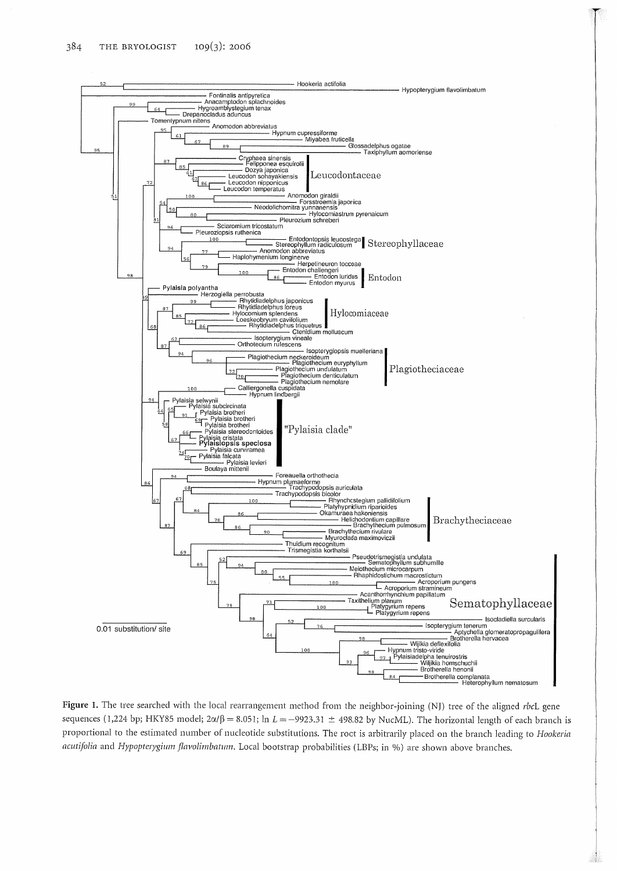

Figure 1. The tree searched with the local rearrangement method from the neighbor-joining (NJ) tree of the aligned rbcL gene sequences (1,224 bp; HKY85 model;  $2\alpha/\beta = 8.051$ ; ln  $L = -9923.31 \pm 498.82$  by NucML). The horizontal length of each branch is proportional to the estimated number of nucleotide substitutions. The root is arbitrarily placed on the branch leading to Hookeria acutifolia and Hypopterygium flavolimbatum. Local bootstrap probabilities (LBPs; in %) are shown above branches.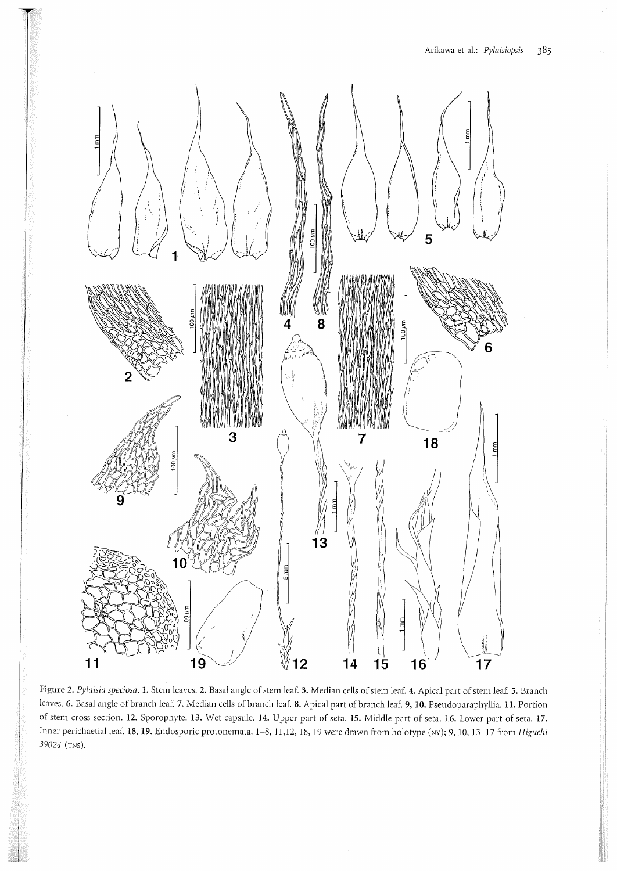

Figure **2.** *Pylaisia speciosa.* 1. Stem leaves. **2.** Basal angle of stem leaf. **3.** Median cells of stem leaf. **4.** Apical part of stem leaf. **5.** Branch leaves. **6.** Basal angle of branch leaf. **7.** Median cells of branch leaf. **8.** Apical part of branch leaf. **9,10.** Pseudoparaphyllia. **11.** Portion of stem cross section. **12.** Sporophyte. **13.** Wet capsule. **14.** Upper part of seta. **15.** Middle part of seta. **16.** Lower part of seta. **17.**  Inner perichaetialleaf. **18, 19.** Endosporic protonemata. 1-8, **11,12,** 18, 19 were drawn from holotype (NY); 9, 10, 13-17 from *Higuchi*  39024 (TNS).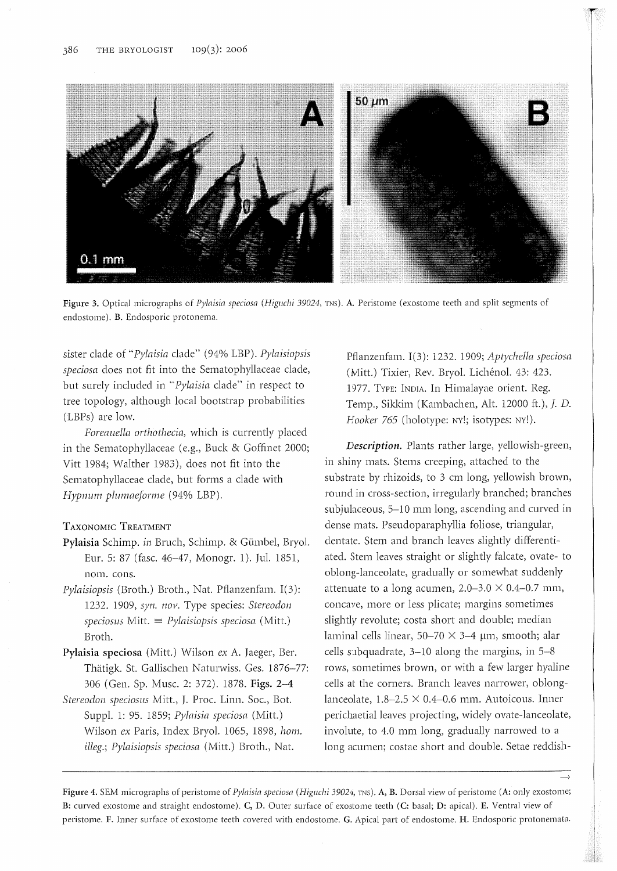

Figure 3. Optical micrographs of *Pylaisia speciosa (Higuchi 39024, TNS)*. A. Peristome (exostome teeth and split segments of endostome). B. Endosporic protonema.

sister clade of *"Pylaisia* clade" (94% LBP). *Pylaisiopsis speciosa* does not fit into the Sematophyllaceae clade, but surely included in *"Pylaisia* clade" in respect to tree topology, although local bootstrap probabilities (LBPs) are low.

*Foreauella orthothecia,* which is currently placed in the Sematophyllaceae (e.g., Buck & Goffinet 2000; Vitt 1984; Walther 1983), does not fit into the Sematophyllaceae clade, but forms a clade with *Hypnum plumaeforme* (94% LBP).

## TAXONOMIC TREATMENT

- Pylaisia Schimp. *in* Bruch, Schimp. & Gümbel, Bryol. Eur. 5: 87 (fase. 46-47, Monogr. 1). Jul. 1851, nom. cons.
- *Pylaisiopsis* (Broth.) Broth., Nat. Pflanzenfam. I(3): 1232. 1909, syn. nov. Type species: Stereodon  $species Mit. \equiv Pylaisiopsis speciosa (Mitt.)$ Broth.
- Pylaisia speciosa (Mitt.) Wilson *ex* A. Jaeger, Ber. Thätigk. St. Gallischen Naturwiss. Ges. 1876-77: 306 (Gen. Sp. Muse. 2: 372). 1878. Figs. 2-4
- *Stereodon specioslls* Mitt., J. Proc. Linn. Soc., Bot. Suppl. 1: 95. 1859; *Pylaisia speciosa* (Mitt.) Wilson *ex* Paris, Index Bryol. 1065, 1898, *hom. illeg.*; Pylaisiopsis speciosa (Mitt.) Broth., Nat.

Pflanzenfam. I(3): 1232. 1909; *Aptychella speciosa*  (Mitt.) Tixier, Rev. Bryol. Lichénol. 43: 423. 1977. TYPE: INDIA. In Himalayae orient. Reg. Temp., Sikkim (Kambachen, Alt. 12000 ft.), ]. D. *Hooker 765* (holotype: NY!; isotypes: NY!).

*Description.* Plants rather large, yellowish-green, in shiny mats. Stems creeping, attached to the substrate by rhizoids, to 3 cm long, yellowish brown, round in cross-section, irregularly branched; branches subjulaceous, 5-10 mm long, ascending and curved in dense mats. Pseudoparaphyllia foliose, triangular, dentate. Stem and branch leaves slightly differentiated. Stem leaves straight or slightly falcate, ovate- to oblong-lanceolate, gradually or somewhat suddenly attenuate to a long acumen,  $2.0-3.0 \times 0.4-0.7$  mm, concave, more or less plicate; margins sometimes slightly revolute; costa short and double; median laminal cells linear, 50–70  $\times$  3–4  $\mu$ m, smooth; alar cells subquadrate,  $3-10$  along the margins, in  $5-8$ rows, sometimes brown, or with a few larger hyaline cells at the corners. Branch leaves narrower, oblonglanceolate,  $1.8-2.5 \times 0.4-0.6$  mm. Autoicous. Inner perichaetial leaves projecting, widely ovate-lanceolate, involute, to 4.0 mm long, gradually narrowed to a long acumen; costae short and double. Setae reddish-

Figure 4. SEM micrographs of peristome of *Pylaisia speciosa (Higuchi 39024*, TNS). A, B. Dorsal view of peristome (A: only exostome; B: curved exostome and straight endostome). C, D. Outer surface of exostome teeth (C: basal; D: apical). E. Ventral view of peristome. F. Inner surface of exostome teeth covered with endostome. G. Apical part of endostome. H. Endosporic protonemata.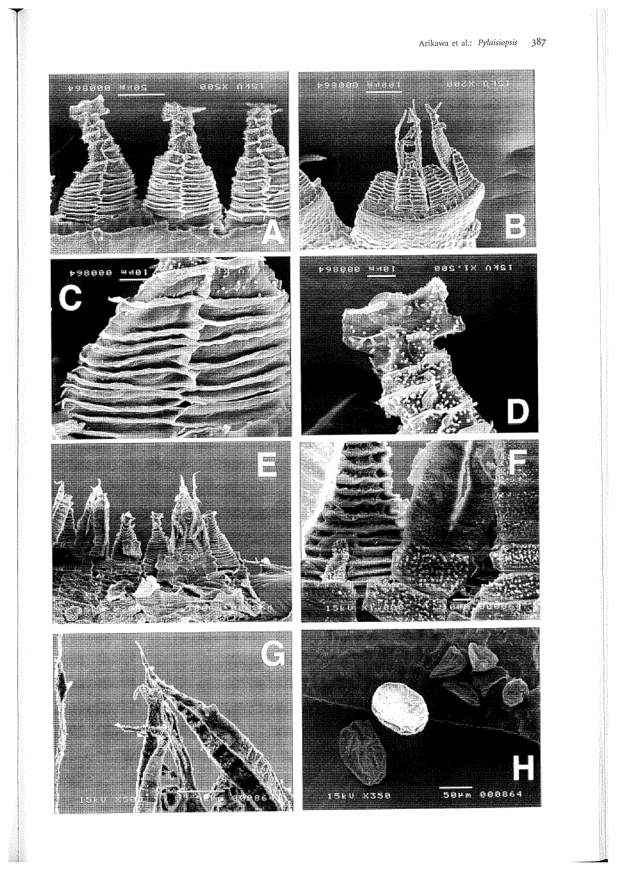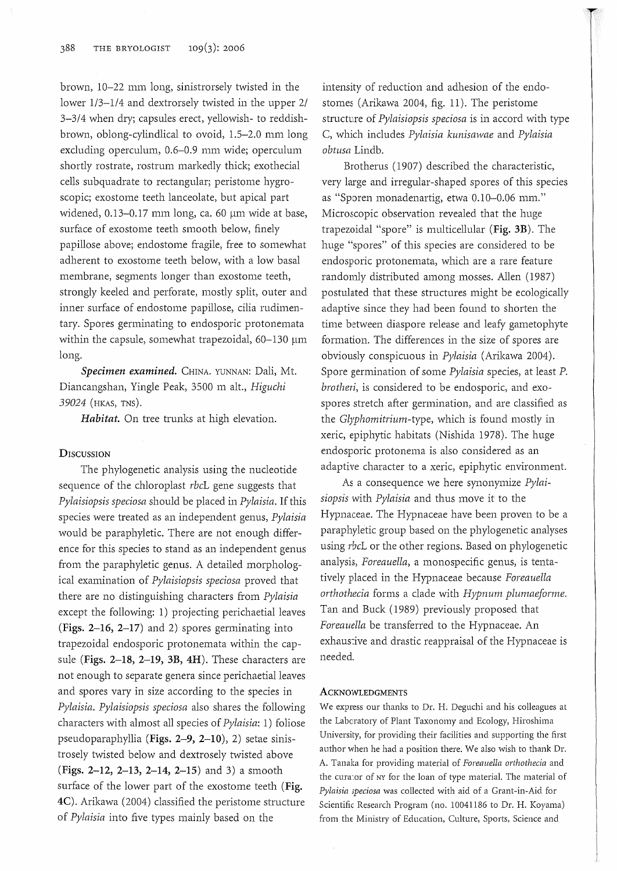brown, 10-22 mm long, sinistrorsely twisted in the lower 1/3-1/4 and dextrorsely twisted in the upper 2/ 3-3/4 when dry; capsules erect, yellowish- to reddishbrown, oblong-cylindlical to ovoid, 1.5-2.0 mm long excluding operculum, 0.6-0.9 mm wide; operculum shortly rostrate, rostrum markedly thick; exothecial cells subquadrate to rectangular; peristome hygroscopic; exostome teeth lanceolate, but apical part widened,  $0.13-0.17$  mm long, ca. 60  $\mu$ m wide at base, surface of exostome teeth smooth below, finely papillose above; endostome fragile, free to somewhat adherent to exostome teeth below, with a low basal membrane, segments longer than exostome teeth, strongly keeled and perforate, mostly split, outer and inner surface of endostome papillose, cilia rudimentary. Spores germinating to endosporic protonemata within the capsule, somewhat trapezoidal,  $60-130 ~\mu m$ long.

*Specimen examined.* CHINA. YUNNAN: Dali, Mt. Diancangshan, Yingle Peak, 3500 m alt., *Higuchi*  39024 (HKAS, TNS).

*Habitat.* On tree trunks at high elevation.

### **DISCUSSION**

The phylogenetic analysis using the nucleotide sequence of the chloroplast *rbcL* gene suggests that *Pylaisiopsis speciosa* should be placed in *Pylaisia.* If this species were treated as an independent genus, *Pylaisia*  would be paraphyletic. There are not enough difference for this species to stand as an independent genus from the paraphyletic genus. A detailed morphological examination of *Pylaisiopsis speciosa* proved that there are no distinguishing characters from *Pylaisia*  except the following: 1) projecting perichaetial leaves (Figs. 2-16, 2-17) and 2) spores germinating into trapezoidal endosporic protonemata within the capsule (Figs. 2-18, 2-19, 3B, 4H). These characters are not enough to separate genera since perichaetial leaves and spores vary in size according to the species in *Pylaisia. Pylaisiopsis speciosa* also shares the following characters with almost all species of *Pylaisia:* 1) foliose pseudoparaphyllia (Figs. 2-9, 2-10), 2) setae sinistrosely twisted below and dextrosely twisted above (Figs. 2-12, 2-13, 2-14, 2-15) and 3) a smooth surface of the lower part of the exostome teeth (Fig. 4C). Arikawa (2004) classified the peristome structure of *Pylaisia* into five types mainly based on the

intensity of reduction and adhesion of the endostomes (Arikawa 2004, fig. 11). The peristome structure of *Pylaisiopsis speciosa* is in accord with type C, which includes *Pylaisia kunisawae* and *Pylaisia obtusa* Lindb.

Brotherus (1907) described the characteristic, very large and irregular-shaped spores of this species as "Sporen monadenartig, etwa 0.10-0.06 mm." Microscopic observation revealed that the huge trapezoidal "spore" is multicellular (Fig. 3B). The huge "spores" of this species are considered to be endosporic protonemata, which are a rare feature randomly distributed among mosses. Allen (1987) postulated that these structures might be ecologically adaptive since they had been found to shorten the time between diaspore release and leafy gametophyte formation. The differences in the size of spores are obviously conspicuous in *Pylaisia* (Arikawa 2004). Spore germination of some *Pylaisia* species, at least *P. brotheri,* is considered to be endosporic, and exospores stretch after germination, and are classified as the *Glyphomitrium-type,* which is found mostly in xeric, epiphytic habitats (Nishida 1978). The huge endosporic protonema is also considered as an adaptive character to a xeric, epiphytic environment.

As a consequence we here synonymize *Pylaisiopsis* with *Pylaisia* and thus move it to the Hypnaceae. The Hypnaceae have been proven to be a paraphyletic group based on the phylogenetic analyses using *rbcL* or the other regions. Based on phylogenetic analysis, *Foreauella,* a monospecific genus, is tentatively placed in the Hypnaceae because *Foreauella orthothecia* forms a clade with *Hypnum plumaefonne.*  Tan and Buck (1989) previously proposed that *Foreauella* be transferred to the Hypnaceae. An exhaustive and drastic reappraisal of the Hypnaceae is needed.

#### **ACKNOWLEDGMENTS**

We express our thanks to Dr. H. Deguchi and his colleagues at the Laboratory of Plant Taxonomy and Ecology, Hiroshima University, for providing their facilities and supporting the first author when he had a position there. We also wish to thank Dr. A. Tanaka for providing material of *Foreauella orthothecia* and the curator of NY for the loan of type material. The material of *Pylaisia speciosa* was collected with aid of a Grant-in-Aid for Scientific Research Program (no. 10041186 to Dr. H. Koyama) from the Ministry of Education, Culture, Sports, Science and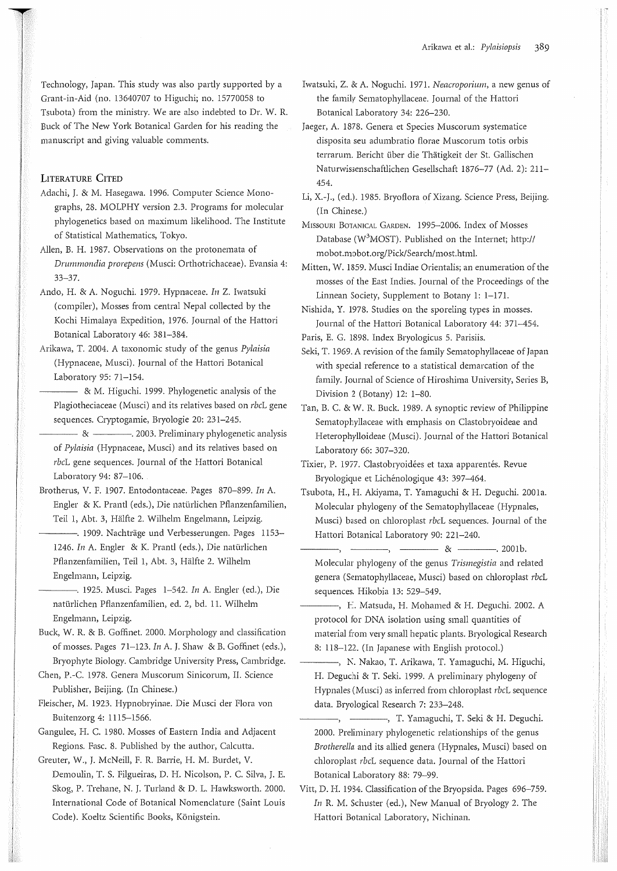Technology, Japan. This study was also partly supported by a Grant-in-Aid (no. 13640707 to Higuchi; no. 15770058 to Tsubota) from the ministry. We are also indebted to Dr. W. R. Buck of The New York Botanical Garden for his reading the manuscript and giving valuable comments.

## LITERATURE CITED

Adachi, J. & M. Hasegawa. 1996. Computer Science Monographs, 28. MOLPHY version 2.3. Programs for molecular phylogenetics based on maximum likelihood. The Institute of Statistical Mathematics, Tokyo.

Allen, B. H. 1987. Observations on the protonemata of *Drummol1dia prorepens* (Musci: Orthotrichaceae). Evansia 4: 33-37.

- Ando, H. & A. Noguchi. 1979. I-Iypnaceae. *In* Z. Iwatsuki (compiler), Mosses from central Nepal collected by the Kochi Himalaya Expedition, 1976. Journal of the Hattori Botanical Laboratory 46: 381-384.
- Arikawa, T. 2004. A taxonomic study of the genus *Pylaisia* (Hypnaceae, Musci). Journal of the Hattori Botanical Laboratory 95: 71-154.

& M. Higuchi. 1999. Phylogenetic analysis of the Plagiotheciaceae (Musci) and its relatives based on rbcL gene sequences. Cryptogamie, Bryologie 20: 231-245.

- & 2003. Preliminary phylogenetic analysis of *Pylaisia* (Hypnaceae, Musci) and its relatives based on *rbcL* gene sequences. Journal of the Hattori Botanical Laboratory 94: 87-106.
- Brotherus, V. F. 1907. Entodontaceae. Pages 870-899. In A. Engler & K. Prantl (eds.), Die natlirlichen Pflanzenfamilien, Teil 1, Abt. 3, Hälfte 2. Wilhelm Engelmann, Leipzig.
	- --. 1909. Nachträge und Verbesserungen. Pages 1153-1246. In A. Engler & K. Prantl (eds.), Die natürlichen Pflanzenfamilien, Teil I, Abt. 3, Halfte 2. Wilhelm Engelmann, Leipzig.
	- ----. 1925. Musci. Pages 1-542. *In* A. Engler (ed.), Die natiirlichen Pflanzenfamilien, ed. 2, bd. 11. Wilhelm Engelmann, Leipzig.
- Buck, W. R. & B. Gofiinet. 2000. Morphology and classification of mosses. Pages 71-123. *In* A. J. Shaw & B. Goffinet (eds.), Bryophyte Biology. Cambridge University Press, Cambridge.
- Chen, P.-c. 1978. Genera Muscorum Sinicorum, II. Science Publisher, Beijing. (In Chinese.)
- Fleischer, M. 1923. Hypnobryinae. Die Musci der Flora von Buitenzorg 4: 1115-1566.
- Gangulee, H. C. 1980. Mosses of Eastern India and Adjacent Regions. Fasc. 8. Published by the author, Calcutta.
- Greuter, W., J. McNeill, F. R. Barrie, H. M. Burdet, V. Demoulin, T. S. Filgueiras, D. H. Nicolson, P. C. Silva, J. E. Skog, P. Trehane, N. J. Turland & D. L. Hawksworth. 2000. International Code of Botanical Nomenclature (Saint Louis Code). Koeltz Scientific Books, Königstein.
- Iwatsuki, Z. & A. Noguchi. 1971. *Neacroporium*, a new genus of the family Sematophyllaceae. Journal of the Hattori Botanical Laboratory 34: 226-230.
- Jaeger, A. 1878. Genera et Species Muscorum systematice disposita seu adumbratio florae Muscorum totis orbis terrarum. Bericht über die Thätigkeit der St. Gallischen Naturwissenschaftlichen Gesellschaft 1876-77 (Ad. 2): 211- 454.
- Li, X.-J., (ed.). 1985. Bryoflora of Xizang. Science Press, Beijing. (In Chinese.)
- MISSOURI BOTANICAL GARDEN. 1995-2006. Index of Mosses Database (W<sup>3</sup> MOST). Published on the Internet; http:// mobot.mobot.org/Pick/Search/most.html.
- Mitten, W. 1859. Musci Indiae Orientalis; an enumeration of the mosses of the East Indies. Journal of the Proceedings of the Linnean Society, Supplement to Botany 1: 1-171.

Nishida, Y. 1978. Studies on the sporeling types in mosses. Journal of the Hattori Botanical Laboratory 44: 371-454.

Paris, E. G. 1898. Index Bryologicus 5. Parisiis.

- Seki, T. 1969. A revision of the family Sematophyllaceae of Japan with special reference to a statistical demarcation of the family. Journal of Science of Hiroshima University, Series B, Division 2 (Botany) 12: 1-80.
- Tan, B. C. & W. R. Buck. 1989. A synoptic review of Philippine Sematophyllaceae with emphasis on Clastobryoideae and HeterophYlloideae (Musci). Journal of the Hattori Botanical Laboratory 66: 307-320.
- Tixier, P. 1977. Clastobryoidées et taxa apparentés. Revue Bryologique et Lichénologique 43: 397-464.
- Tsubota, H., H. Akiyama, T. Yamaguchi & H. Deguchi. 2001a. Molecular phylogeny of the Sematophyllaceae (Hypnales, Musci) based on chloroplast *rbcL* sequences. Journal of the Hattori Botanical Laboratory 90: 221-240.

& ---.2001b. Molecular phylogeny of the genus *Trismegistia* and related genera (Sematophyllaceae, Musci) based on chloroplast *rbcL*  sequences. Hikobia 13: 529-549.

- ----, H. Matsuda, H. Mohamed & H. Deguchi. 2002. A protocol for DNA isolation using small quantities of material from very small hepatic plants. Bryological Research 8: 118-122. (In Japanese with English protocol.)
- ----, N. Nakao, T. Arikawa, T. Yamaguchi, M. Higuchi, H. Deguchi & T. Seki. 1999. A preliminary phylogeny of I-Iypnales (Musci) as inferred from chloroplast *rbcL* sequence data. Bryological Research 7: 233-248.
- -, -----------, T. Yamaguchi, T. Seki & H. Deguchi. 2000. Preliminary phylogenetic relationships of the genus *Brotherella* and its allied genera (Hypnales, Musci) based on chloroplast *rbcL* sequence data. Journal of the Hattori Botanical Laboratory 88: 79-99.
- Vitt, D. H. 1984. Classification of the Bryopsida. Pages 696-759. *In* R. M. Schuster (ed.), New Manual of Bryology 2. The Hattori Botanical Laboratory, Nichinan.